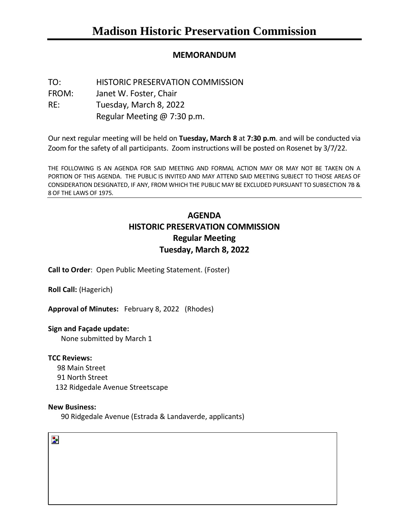# **MEMORANDUM**

TO: HISTORIC PRESERVATION COMMISSION FROM: Janet W. Foster, Chair RE: Tuesday, March 8, 2022 Regular Meeting @ 7:30 p.m.

Our next regular meeting will be held on **Tuesday, March 8** at **7:30 p.m**. and will be conducted via Zoom for the safety of all participants. Zoom instructions will be posted on Rosenet by 3/7/22.

THE FOLLOWING IS AN AGENDA FOR SAID MEETING AND FORMAL ACTION MAY OR MAY NOT BE TAKEN ON A PORTION OF THIS AGENDA. THE PUBLIC IS INVITED AND MAY ATTEND SAID MEETING SUBJECT TO THOSE AREAS OF CONSIDERATION DESIGNATED, IF ANY, FROM WHICH THE PUBLIC MAY BE EXCLUDED PURSUANT TO SUBSECTION 7B & 8 OF THE LAWS OF 1975.

# **AGENDA HISTORIC PRESERVATION COMMISSION Regular Meeting Tuesday, March 8, 2022**

**Call to Order**: Open Public Meeting Statement. (Foster)

**Roll Call:** (Hagerich)

**Approval of Minutes:** February 8, 2022 (Rhodes)

# **Sign and Façade update:**

None submitted by March 1

# **TCC Reviews:**

98 Main Street 91 North Street 132 Ridgedale Avenue Streetscape

#### **New Business:**

90 Ridgedale Avenue (Estrada & Landaverde, applicants)